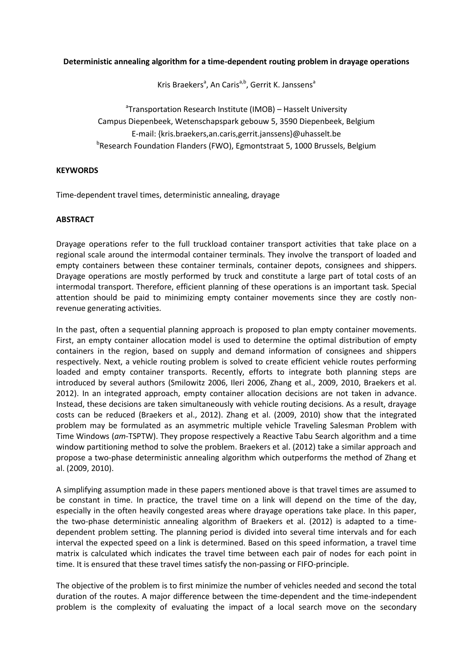## **Deterministic annealing algorithm for a time-dependent routing problem in drayage operations**

Kris Braekers<sup>a</sup>, An Caris<sup>a,b</sup>, Gerrit K. Janssens<sup>a</sup>

<sup>a</sup>Transportation Research Institute (IMOB) – Hasselt University Campus Diepenbeek, Wetenschapspark gebouw 5, 3590 Diepenbeek, Belgium E-mail: {kris.braekers,an.caris,gerrit.janssens}@uhasselt.be <sup>b</sup>Research Foundation Flanders (FWO), Egmontstraat 5, 1000 Brussels, Belgium

## **KEYWORDS**

Time-dependent travel times, deterministic annealing, drayage

## **ABSTRACT**

Drayage operations refer to the full truckload container transport activities that take place on a regional scale around the intermodal container terminals. They involve the transport of loaded and empty containers between these container terminals, container depots, consignees and shippers. Drayage operations are mostly performed by truck and constitute a large part of total costs of an intermodal transport. Therefore, efficient planning of these operations is an important task. Special attention should be paid to minimizing empty container movements since they are costly nonrevenue generating activities.

In the past, often a sequential planning approach is proposed to plan empty container movements. First, an empty container allocation model is used to determine the optimal distribution of empty containers in the region, based on supply and demand information of consignees and shippers respectively. Next, a vehicle routing problem is solved to create efficient vehicle routes performing loaded and empty container transports. Recently, efforts to integrate both planning steps are introduced by several authors (Smilowitz 2006, Ileri 2006, Zhang et al., 2009, 2010, Braekers et al. 2012). In an integrated approach, empty container allocation decisions are not taken in advance. Instead, these decisions are taken simultaneously with vehicle routing decisions. As a result, drayage costs can be reduced (Braekers et al., 2012). Zhang et al. (2009, 2010) show that the integrated problem may be formulated as an asymmetric multiple vehicle Traveling Salesman Problem with Time Windows (*am*-TSPTW). They propose respectively a Reactive Tabu Search algorithm and a time window partitioning method to solve the problem. Braekers et al. (2012) take a similar approach and propose a two-phase deterministic annealing algorithm which outperforms the method of Zhang et al. (2009, 2010).

A simplifying assumption made in these papers mentioned above is that travel times are assumed to be constant in time. In practice, the travel time on a link will depend on the time of the day, especially in the often heavily congested areas where drayage operations take place. In this paper, the two-phase deterministic annealing algorithm of Braekers et al. (2012) is adapted to a timedependent problem setting. The planning period is divided into several time intervals and for each interval the expected speed on a link is determined. Based on this speed information, a travel time matrix is calculated which indicates the travel time between each pair of nodes for each point in time. It is ensured that these travel times satisfy the non-passing or FIFO-principle.

The objective of the problem is to first minimize the number of vehicles needed and second the total duration of the routes. A major difference between the time-dependent and the time-independent problem is the complexity of evaluating the impact of a local search move on the secondary